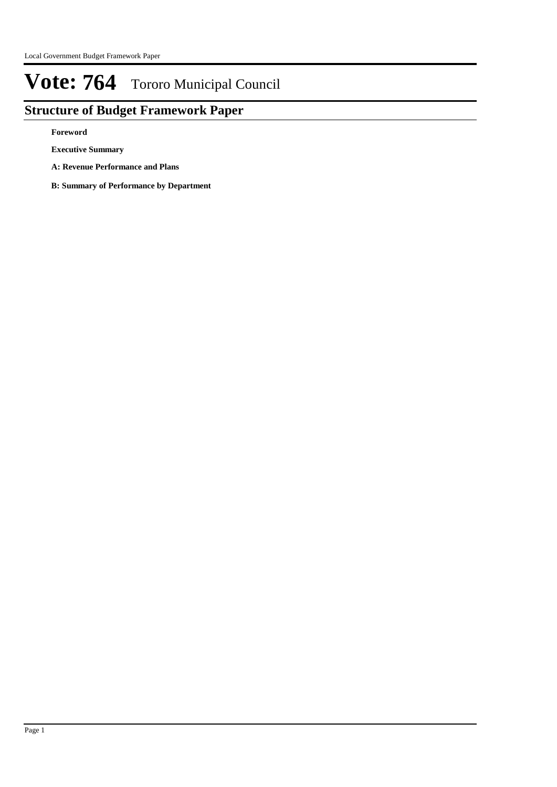## **Structure of Budget Framework Paper**

**Foreword**

**Executive Summary**

**A: Revenue Performance and Plans**

**B: Summary of Performance by Department**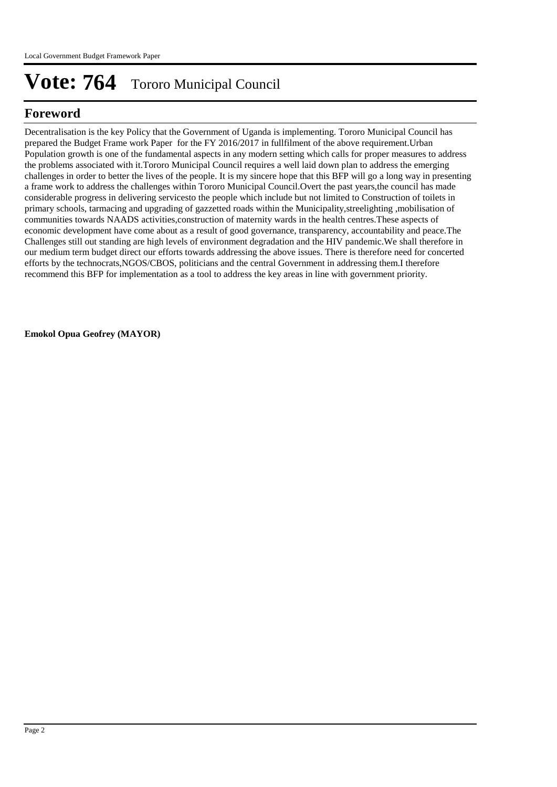## **Foreword**

Decentralisation is the key Policy that the Government of Uganda is implementing. Tororo Municipal Council has prepared the Budget Frame work Paper for the FY 2016/2017 in fullfilment of the above requirement.Urban Population growth is one of the fundamental aspects in any modern setting which calls for proper measures to address the problems associated with it.Tororo Municipal Council requires a well laid down plan to address the emerging challenges in order to better the lives of the people. It is my sincere hope that this BFP will go a long way in presenting a frame work to address the challenges within Tororo Municipal Council.Overt the past years,the council has made considerable progress in delivering servicesto the people which include but not limited to Construction of toilets in primary schools, tarmacing and upgrading of gazzetted roads within the Municipality,streelighting ,mobilisation of communities towards NAADS activities,construction of maternity wards in the health centres.These aspects of economic development have come about as a result of good governance, transparency, accountability and peace.The Challenges still out standing are high levels of environment degradation and the HIV pandemic.We shall therefore in our medium term budget direct our efforts towards addressing the above issues. There is therefore need for concerted efforts by the technocrats,NGOS/CBOS, politicians and the central Government in addressing them.I therefore recommend this BFP for implementation as a tool to address the key areas in line with government priority.

**Emokol Opua Geofrey (MAYOR)**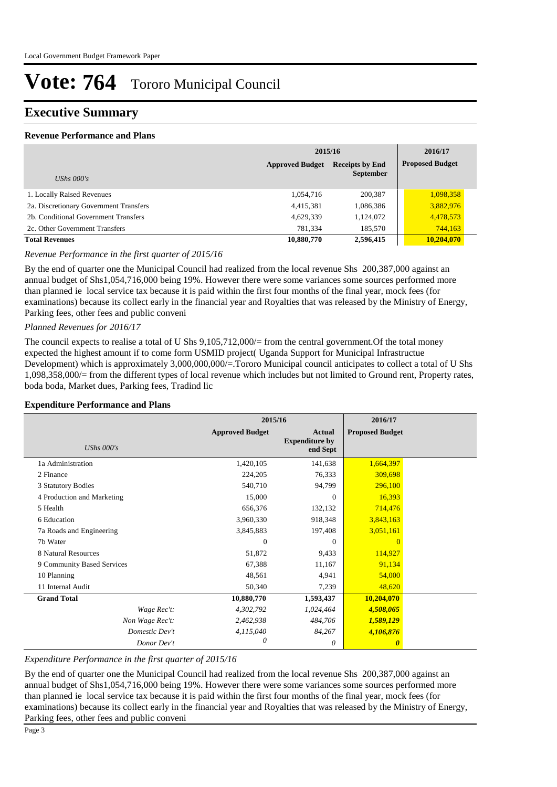### **Executive Summary**

#### **Revenue Performance and Plans**

|                                        | 2015/16                | 2016/17                                    |                        |
|----------------------------------------|------------------------|--------------------------------------------|------------------------|
| UShs $000's$                           | <b>Approved Budget</b> | <b>Receipts by End</b><br><b>September</b> | <b>Proposed Budget</b> |
| 1. Locally Raised Revenues             | 1,054,716              | 200,387                                    | 1,098,358              |
| 2a. Discretionary Government Transfers | 4,415,381              | 1,086,386                                  | 3,882,976              |
| 2b. Conditional Government Transfers   | 4,629,339              | 1,124,072                                  | 4,478,573              |
| 2c. Other Government Transfers         | 781.334                | 185,570                                    | 744,163                |
| <b>Total Revenues</b>                  | 10,880,770             | 2,596,415                                  | 10.204.070             |

*Revenue Performance in the first quarter of 2015/16*

By the end of quarter one the Municipal Council had realized from the local revenue Shs 200,387,000 against an annual budget of Shs1,054,716,000 being 19%. However there were some variances some sources performed more than planned ie local service tax because it is paid within the first four months of the final year, mock fees (for examinations) because its collect early in the financial year and Royalties that was released by the Ministry of Energy, Parking fees, other fees and public conveni

#### *Planned Revenues for 2016/17*

The council expects to realise a total of U Shs 9,105,712,000/= from the central government.Of the total money expected the highest amount if to come form USMID project( Uganda Support for Municipal Infrastructue Development) which is approximately 3,000,000,000/=.Tororo Municipal council anticipates to collect a total of U Shs 1,098,358,000/= from the different types of local revenue which includes but not limited to Ground rent, Property rates, boda boda, Market dues, Parking fees, Tradind lic

#### **Expenditure Performance and Plans**

|                            | 2015/16                |                                                    | 2016/17                |  |
|----------------------------|------------------------|----------------------------------------------------|------------------------|--|
| UShs $000's$               | <b>Approved Budget</b> | <b>Actual</b><br><b>Expenditure by</b><br>end Sept | <b>Proposed Budget</b> |  |
| 1a Administration          | 1,420,105              | 141,638                                            | 1,664,397              |  |
| 2 Finance                  | 224,205                | 76,333                                             | 309,698                |  |
| 3 Statutory Bodies         | 540,710                | 94,799                                             | 296,100                |  |
| 4 Production and Marketing | 15,000                 | $\Omega$                                           | 16,393                 |  |
| 5 Health                   | 656,376                | 132,132                                            | 714,476                |  |
| 6 Education                | 3,960,330              | 918,348                                            | 3,843,163              |  |
| 7a Roads and Engineering   | 3,845,883              | 197,408                                            | 3,051,161              |  |
| 7b Water                   | $\Omega$               | $\Omega$                                           | $\Omega$               |  |
| 8 Natural Resources        | 51,872                 | 9,433                                              | 114,927                |  |
| 9 Community Based Services | 67,388                 | 11,167                                             | 91,134                 |  |
| 10 Planning                | 48,561                 | 4,941                                              | 54,000                 |  |
| 11 Internal Audit          | 50,340                 | 7,239                                              | 48,620                 |  |
| <b>Grand Total</b>         | 10,880,770             | 1,593,437                                          | 10,204,070             |  |
| Wage Rec't:                | 4,302,792              | 1,024,464                                          | 4,508,065              |  |
| Non Wage Rec't:            | 2,462,938              | 484,706                                            | 1,589,129              |  |
| Domestic Dev't             | 4,115,040              | 84,267                                             | 4,106,876              |  |
| Donor Dev't                | 0                      | 0                                                  | $\boldsymbol{\theta}$  |  |

#### *Expenditure Performance in the first quarter of 2015/16*

By the end of quarter one the Municipal Council had realized from the local revenue Shs 200,387,000 against an annual budget of Shs1,054,716,000 being 19%. However there were some variances some sources performed more than planned ie local service tax because it is paid within the first four months of the final year, mock fees (for examinations) because its collect early in the financial year and Royalties that was released by the Ministry of Energy, Parking fees, other fees and public conveni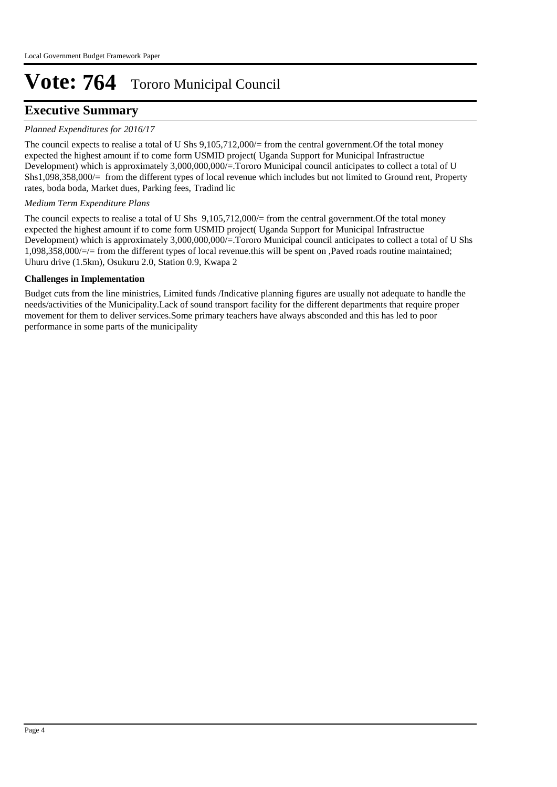### **Executive Summary**

#### *Planned Expenditures for 2016/17*

The council expects to realise a total of U Shs 9,105,712,000/= from the central government.Of the total money expected the highest amount if to come form USMID project( Uganda Support for Municipal Infrastructue Development) which is approximately 3,000,000,000/=.Tororo Municipal council anticipates to collect a total of U Shs1,098,358,000/= from the different types of local revenue which includes but not limited to Ground rent, Property rates, boda boda, Market dues, Parking fees, Tradind lic

#### *Medium Term Expenditure Plans*

The council expects to realise a total of U Shs 9,105,712,000/= from the central government. Of the total money expected the highest amount if to come form USMID project( Uganda Support for Municipal Infrastructue Development) which is approximately 3,000,000,000/=.Tororo Municipal council anticipates to collect a total of U Shs 1,098,358,000/=/= from the different types of local revenue.this will be spent on ,Paved roads routine maintained; Uhuru drive (1.5km), Osukuru 2.0, Station 0.9, Kwapa 2

#### **Challenges in Implementation**

Budget cuts from the line ministries, Limited funds /Indicative planning figures are usually not adequate to handle the needs/activities of the Municipality.Lack of sound transport facility for the different departments that require proper movement for them to deliver services.Some primary teachers have always absconded and this has led to poor performance in some parts of the municipality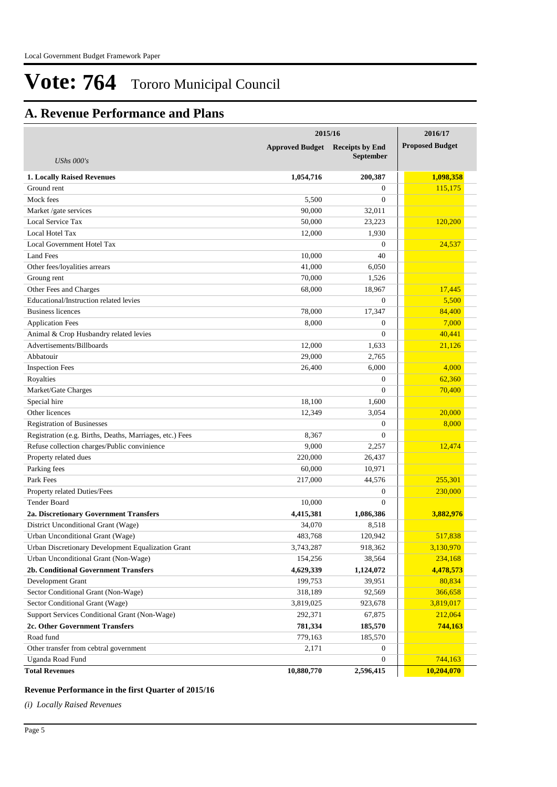## **A. Revenue Performance and Plans**

|                                                          | 2015/16                                | 2016/17          |                        |
|----------------------------------------------------------|----------------------------------------|------------------|------------------------|
|                                                          | <b>Approved Budget</b> Receipts by End |                  | <b>Proposed Budget</b> |
| UShs $000's$                                             |                                        | <b>September</b> |                        |
| 1. Locally Raised Revenues                               | 1,054,716                              | 200,387          | 1,098,358              |
| Ground rent                                              |                                        | $\theta$         | 115,175                |
| Mock fees                                                | 5,500                                  | $\overline{0}$   |                        |
| Market /gate services                                    | 90,000                                 | 32,011           |                        |
| Local Service Tax                                        | 50,000                                 | 23,223           | 120,200                |
| Local Hotel Tax                                          | 12,000                                 | 1,930            |                        |
| Local Government Hotel Tax                               |                                        | $\overline{0}$   | 24,537                 |
| <b>Land Fees</b>                                         | 10.000                                 | 40               |                        |
| Other fees/loyalities arrears                            | 41,000                                 | 6,050            |                        |
| Groung rent                                              | 70,000                                 | 1,526            |                        |
| Other Fees and Charges                                   | 68,000                                 | 18,967           | 17,445                 |
| Educational/Instruction related levies                   |                                        | $\overline{0}$   | 5,500                  |
| <b>Business licences</b>                                 | 78,000                                 | 17,347           | 84,400                 |
| <b>Application Fees</b>                                  | 8,000                                  | $\overline{0}$   | 7,000                  |
| Animal & Crop Husbandry related levies                   |                                        | $\overline{0}$   | 40,441                 |
| Advertisements/Billboards                                | 12,000                                 | 1,633            | 21,126                 |
| Abbatouir                                                | 29,000                                 | 2,765            |                        |
| <b>Inspection Fees</b>                                   | 26,400                                 | 6,000            | 4,000                  |
| Royalties                                                |                                        | $\boldsymbol{0}$ | 62,360                 |
| Market/Gate Charges                                      |                                        | $\overline{0}$   | 70,400                 |
| Special hire                                             | 18,100                                 | 1,600            |                        |
| Other licences                                           | 12,349                                 | 3,054            | 20,000                 |
| <b>Registration of Businesses</b>                        |                                        | $\boldsymbol{0}$ | 8,000                  |
| Registration (e.g. Births, Deaths, Marriages, etc.) Fees | 8,367                                  | $\overline{0}$   |                        |
| Refuse collection charges/Public convinience             | 9,000                                  | 2,257            | 12,474                 |
| Property related dues                                    | 220,000                                | 26,437           |                        |
| Parking fees                                             | 60,000                                 | 10,971           |                        |
| Park Fees                                                | 217,000                                | 44,576           | 255,301                |
| Property related Duties/Fees                             |                                        | $\boldsymbol{0}$ | 230,000                |
| Tender Board                                             | 10,000                                 | $\overline{0}$   |                        |
| 2a. Discretionary Government Transfers                   | 4,415,381                              | 1,086,386        | 3,882,976              |
| District Unconditional Grant (Wage)                      | 34,070                                 | 8,518            |                        |
| Urban Unconditional Grant (Wage)                         | 483,768                                | 120,942          | 517,838                |
| Urban Discretionary Development Equalization Grant       | 3,743,287                              | 918,362          | 3,130,970              |
| Urban Unconditional Grant (Non-Wage)                     | 154,256                                | 38,564           | 234,168                |
| 2b. Conditional Government Transfers                     | 4,629,339                              | 1,124,072        | 4,478,573              |
| Development Grant                                        | 199,753                                | 39,951           | 80,834                 |
| Sector Conditional Grant (Non-Wage)                      | 318,189                                | 92,569           | 366,658                |
| Sector Conditional Grant (Wage)                          | 3,819,025                              | 923,678          | 3,819,017              |
| Support Services Conditional Grant (Non-Wage)            | 292,371                                | 67,875           | 212,064                |
| 2c. Other Government Transfers                           | 781,334                                | 185,570          | 744,163                |
| Road fund                                                | 779,163                                | 185,570          |                        |
| Other transfer from cebtral government                   | 2,171                                  | 0                |                        |
| Uganda Road Fund                                         |                                        | $\boldsymbol{0}$ | 744,163                |
| <b>Total Revenues</b>                                    | 10,880,770                             | 2,596,415        | 10,204,070             |

#### **Revenue Performance in the first Quarter of 2015/16**

*(i) Locally Raised Revenues*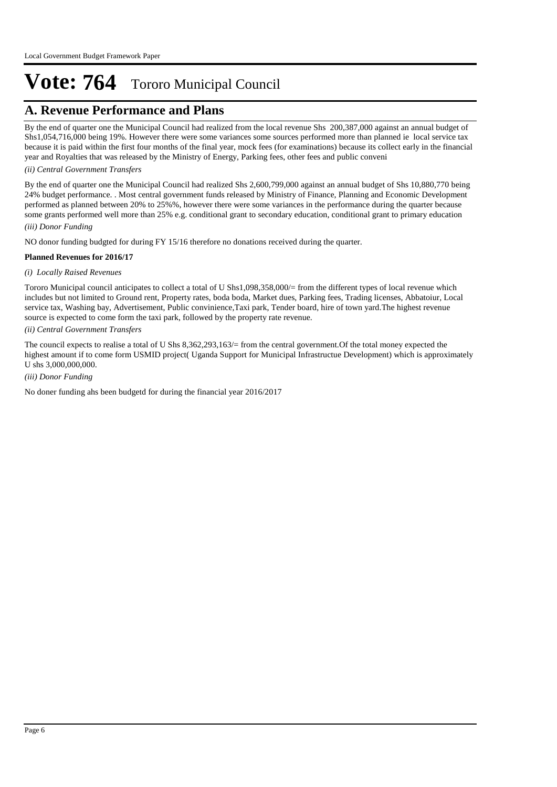### **A. Revenue Performance and Plans**

By the end of quarter one the Municipal Council had realized from the local revenue Shs 200,387,000 against an annual budget of Shs1,054,716,000 being 19%. However there were some variances some sources performed more than planned ie local service tax because it is paid within the first four months of the final year, mock fees (for examinations) because its collect early in the financial year and Royalties that was released by the Ministry of Energy, Parking fees, other fees and public conveni

#### *(ii) Central Government Transfers*

*(iii) Donor Funding* By the end of quarter one the Municipal Council had realized Shs 2,600,799,000 against an annual budget of Shs 10,880,770 being 24% budget performance. . Most central government funds released by Ministry of Finance, Planning and Economic Development performed as planned between 20% to 25%%, however there were some variances in the performance during the quarter because some grants performed well more than 25% e.g. conditional grant to secondary education, conditional grant to primary education

NO donor funding budgted for during FY 15/16 therefore no donations received during the quarter.

#### **Planned Revenues for 2016/17**

#### *(i) Locally Raised Revenues*

Tororo Municipal council anticipates to collect a total of U Shs1,098,358,000/= from the different types of local revenue which includes but not limited to Ground rent, Property rates, boda boda, Market dues, Parking fees, Trading licenses, Abbatoiur, Local service tax, Washing bay, Advertisement, Public convinience,Taxi park, Tender board, hire of town yard.The highest revenue source is expected to come form the taxi park, followed by the property rate revenue.

#### *(ii) Central Government Transfers*

The council expects to realise a total of U Shs 8,362,293,163/= from the central government.Of the total money expected the highest amount if to come form USMID project( Uganda Support for Municipal Infrastructue Development) which is approximately U shs 3,000,000,000.

#### *(iii) Donor Funding*

No doner funding ahs been budgetd for during the financial year 2016/2017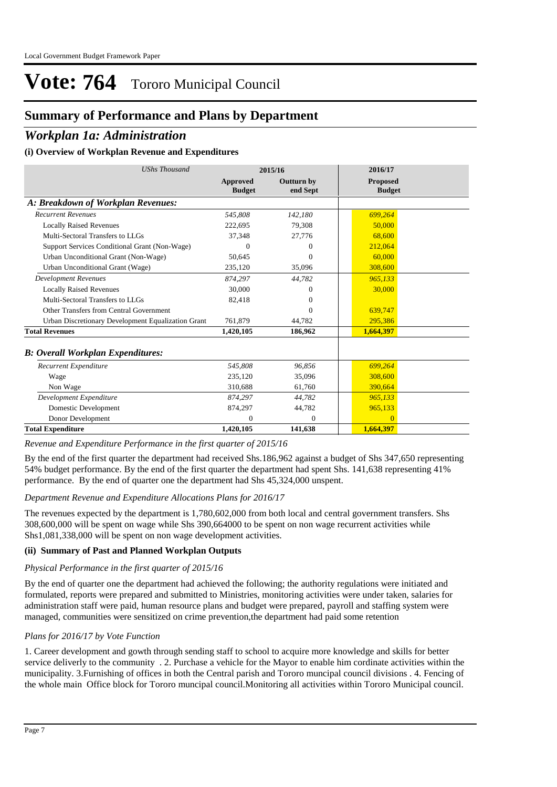## **Summary of Performance and Plans by Department**

### *Workplan 1a: Administration*

#### **(i) Overview of Workplan Revenue and Expenditures**

| <b>UShs Thousand</b>                               | 2015/16                   |                               | 2016/17                          |  |
|----------------------------------------------------|---------------------------|-------------------------------|----------------------------------|--|
|                                                    | Approved<br><b>Budget</b> | <b>Outturn by</b><br>end Sept | <b>Proposed</b><br><b>Budget</b> |  |
| A: Breakdown of Workplan Revenues:                 |                           |                               |                                  |  |
| <b>Recurrent Revenues</b>                          | 545,808                   | 142,180                       | 699,264                          |  |
| <b>Locally Raised Revenues</b>                     | 222,695                   | 79,308                        | 50,000                           |  |
| Multi-Sectoral Transfers to LLGs                   | 37,348                    | 27,776                        | 68,600                           |  |
| Support Services Conditional Grant (Non-Wage)      | $\Omega$                  | 0                             | 212,064                          |  |
| Urban Unconditional Grant (Non-Wage)               | 50,645                    | $\theta$                      | 60,000                           |  |
| Urban Unconditional Grant (Wage)                   | 235,120                   | 35,096                        | 308,600                          |  |
| <b>Development Revenues</b>                        | 874,297                   | 44,782                        | 965,133                          |  |
| <b>Locally Raised Revenues</b>                     | 30,000                    | 0                             | 30,000                           |  |
| Multi-Sectoral Transfers to LLGs                   | 82,418                    | 0                             |                                  |  |
| Other Transfers from Central Government            |                           | 0                             | 639,747                          |  |
| Urban Discretionary Development Equalization Grant | 761,879                   | 44.782                        | 295,386                          |  |
| <b>Total Revenues</b>                              | 1,420,105                 | 186,962                       | 1,664,397                        |  |
| <b>B: Overall Workplan Expenditures:</b>           |                           |                               |                                  |  |
| Recurrent Expenditure                              | 545,808                   | 96,856                        | 699,264                          |  |
| Wage                                               | 235,120                   | 35,096                        | 308,600                          |  |
| Non Wage                                           | 310.688                   | 61,760                        | 390.664                          |  |
| Development Expenditure                            | 874,297                   | 44,782                        | 965,133                          |  |
| Domestic Development                               | 874,297                   | 44,782                        | 965,133                          |  |
| Donor Development                                  | 0                         | $\overline{0}$                | $\Omega$                         |  |
| <b>Total Expenditure</b>                           | 1,420,105                 | 141,638                       | 1,664,397                        |  |

*Revenue and Expenditure Performance in the first quarter of 2015/16*

By the end of the first quarter the department had received Shs.186,962 against a budget of Shs 347,650 representing 54% budget performance. By the end of the first quarter the department had spent Shs. 141,638 representing 41% performance. By the end of quarter one the department had Shs 45,324,000 unspent.

#### *Department Revenue and Expenditure Allocations Plans for 2016/17*

The revenues expected by the department is 1,780,602,000 from both local and central government transfers. Shs 308,600,000 will be spent on wage while Shs 390,664000 to be spent on non wage recurrent activities while Shs1,081,338,000 will be spent on non wage development activities.

#### **(ii) Summary of Past and Planned Workplan Outputs**

#### *Physical Performance in the first quarter of 2015/16*

By the end of quarter one the department had achieved the following; the authority regulations were initiated and formulated, reports were prepared and submitted to Ministries, monitoring activities were under taken, salaries for administration staff were paid, human resource plans and budget were prepared, payroll and staffing system were managed, communities were sensitized on crime prevention,the department had paid some retention

#### *Plans for 2016/17 by Vote Function*

1. Career development and gowth through sending staff to school to acquire more knowledge and skills for better service deliverly to the community . 2. Purchase a vehicle for the Mayor to enable him cordinate activities within the municipality. 3.Furnishing of offices in both the Central parish and Tororo muncipal council divisions . 4. Fencing of the whole main Office block for Tororo muncipal council.Monitoring all activities within Tororo Municipal council.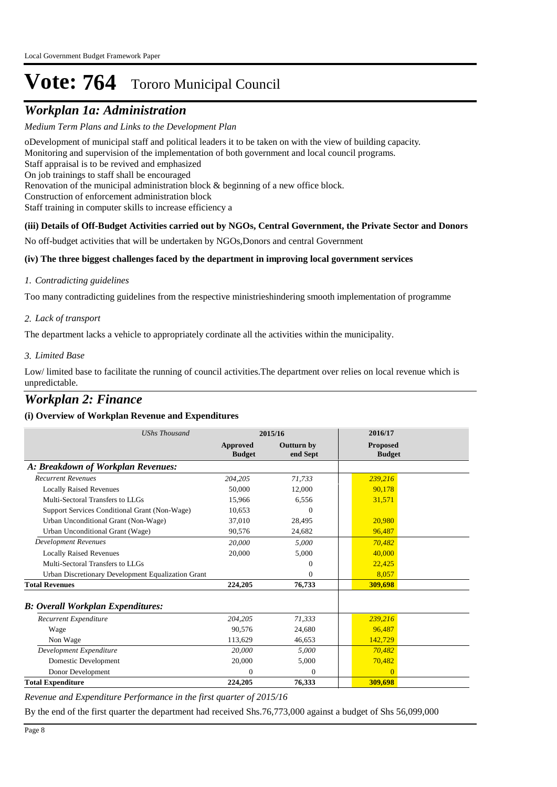## *Workplan 1a: Administration*

*Medium Term Plans and Links to the Development Plan*

o Development of municipal staff and political leaders it to be taken on with the view of building capacity. Monitoring and supervision of the implementation of both government and local council programs. Staff appraisal is to be revived and emphasized On job trainings to staff shall be encouraged Renovation of the municipal administration block & beginning of a new office block. Construction of enforcement administration block Staff training in computer skills to increase efficiency a **(iii) Details of Off-Budget Activities carried out by NGOs, Central Government, the Private Sector and Donors** 

No off-budget activities that will be undertaken by NGOs,Donors and central Government

#### **(iv) The three biggest challenges faced by the department in improving local government services**

#### *Contradicting guidelines 1.*

Too many contradicting guidelines from the respective ministrieshindering smooth implementation of programme

#### *Lack of transport 2.*

The department lacks a vehicle to appropriately cordinate all the activities within the municipality.

#### *Limited Base 3.*

Low/ limited base to facilitate the running of council activities.The department over relies on local revenue which is unpredictable.

### *Workplan 2: Finance*

#### **(i) Overview of Workplan Revenue and Expenditures**

| <b>UShs Thousand</b>                               | 2015/16                   |                               | 2016/17                          |
|----------------------------------------------------|---------------------------|-------------------------------|----------------------------------|
|                                                    | Approved<br><b>Budget</b> | <b>Outturn by</b><br>end Sept | <b>Proposed</b><br><b>Budget</b> |
| A: Breakdown of Workplan Revenues:                 |                           |                               |                                  |
| <b>Recurrent Revenues</b>                          | 204.205                   | 71,733                        | 239,216                          |
| <b>Locally Raised Revenues</b>                     | 50,000                    | 12,000                        | 90.178                           |
| Multi-Sectoral Transfers to LLGs                   | 15,966                    | 6,556                         | 31,571                           |
| Support Services Conditional Grant (Non-Wage)      | 10.653                    | 0                             |                                  |
| Urban Unconditional Grant (Non-Wage)               | 37.010                    | 28,495                        | 20,980                           |
| Urban Unconditional Grant (Wage)                   | 90,576                    | 24,682                        | 96.487                           |
| <b>Development Revenues</b>                        | 20,000                    | 5,000                         | 70.482                           |
| <b>Locally Raised Revenues</b>                     | 20,000                    | 5,000                         | 40,000                           |
| Multi-Sectoral Transfers to LLGs                   |                           | 0                             | 22,425                           |
| Urban Discretionary Development Equalization Grant |                           | 0                             | 8,057                            |
| <b>Total Revenues</b>                              | 224,205                   | 76,733                        | 309,698                          |
| <b>B: Overall Workplan Expenditures:</b>           |                           |                               |                                  |
| <b>Recurrent Expenditure</b>                       | 204,205                   | 71,333                        | 239.216                          |
| Wage                                               | 90.576                    | 24,680                        | 96.487                           |
| Non Wage                                           | 113.629                   | 46.653                        | 142,729                          |
| Development Expenditure                            | 20,000                    | 5.000                         | 70.482                           |
| Domestic Development                               | 20,000                    | 5,000                         | 70,482                           |
| Donor Development                                  | $\theta$                  | $\mathbf{0}$                  | $\Omega$                         |
| <b>Total Expenditure</b>                           | 224,205                   | 76,333                        | 309,698                          |

*Revenue and Expenditure Performance in the first quarter of 2015/16*

By the end of the first quarter the department had received Shs.76,773,000 against a budget of Shs 56,099,000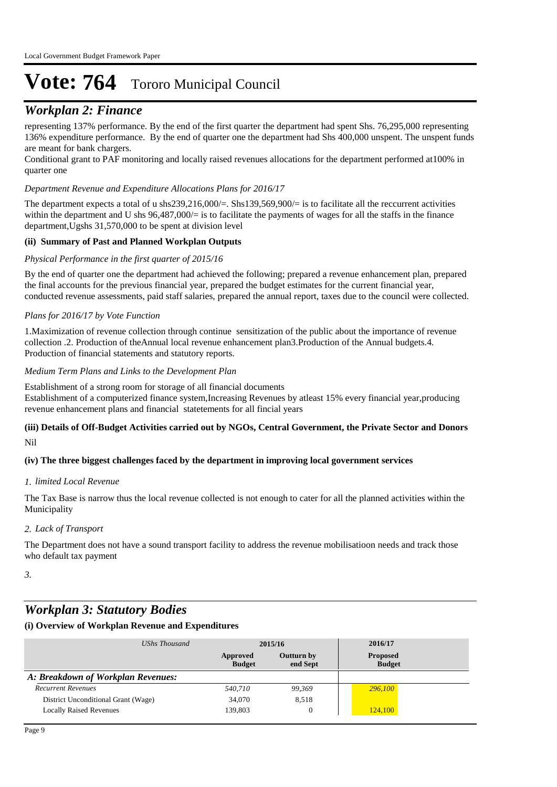## *Workplan 2: Finance*

representing 137% performance. By the end of the first quarter the department had spent Shs. 76,295,000 representing 136% expenditure performance. By the end of quarter one the department had Shs 400,000 unspent. The unspent funds are meant for bank chargers.

Conditional grant to PAF monitoring and locally raised revenues allocations for the department performed at100% in quarter one

#### *Department Revenue and Expenditure Allocations Plans for 2016/17*

The department expects a total of u shs239,216,000/=. Shs139,569,900/= is to facilitate all the reccurrent activities within the department and U shs  $96,487,000/=$  is to facilitate the payments of wages for all the staffs in the finance department,Ugshs 31,570,000 to be spent at division level

#### **(ii) Summary of Past and Planned Workplan Outputs**

#### *Physical Performance in the first quarter of 2015/16*

By the end of quarter one the department had achieved the following; prepared a revenue enhancement plan, prepared the final accounts for the previous financial year, prepared the budget estimates for the current financial year, conducted revenue assessments, paid staff salaries, prepared the annual report, taxes due to the council were collected.

#### *Plans for 2016/17 by Vote Function*

1.Maximization of revenue collection through continue sensitization of the public about the importance of revenue collection .2. Production of theAnnual local revenue enhancement plan3.Production of the Annual budgets.4. Production of financial statements and statutory reports.

#### *Medium Term Plans and Links to the Development Plan*

Establishment of a strong room for storage of all financial documents Establishment of a computerized finance system,Increasing Revenues by atleast 15% every financial year,producing revenue enhancement plans and financial statetements for all fincial years

#### Nil **(iii) Details of Off-Budget Activities carried out by NGOs, Central Government, the Private Sector and Donors**

#### **(iv) The three biggest challenges faced by the department in improving local government services**

#### *limited Local Revenue 1.*

The Tax Base is narrow thus the local revenue collected is not enough to cater for all the planned activities within the Municipality

#### *Lack of Transport 2.*

The Department does not have a sound transport facility to address the revenue mobilisatioon needs and track those who default tax payment

*3.*

## *Workplan 3: Statutory Bodies*

#### **(i) Overview of Workplan Revenue and Expenditures**

| UShs Thousand                       |                           | 2015/16                | 2016/17                          |
|-------------------------------------|---------------------------|------------------------|----------------------------------|
|                                     | Approved<br><b>Budget</b> | Outturn by<br>end Sept | <b>Proposed</b><br><b>Budget</b> |
| A: Breakdown of Workplan Revenues:  |                           |                        |                                  |
| <b>Recurrent Revenues</b>           | 540,710                   | 99,369                 | 296,100                          |
| District Unconditional Grant (Wage) | 34,070                    | 8,518                  |                                  |
| <b>Locally Raised Revenues</b>      | 139,803                   | 0                      | 124,100                          |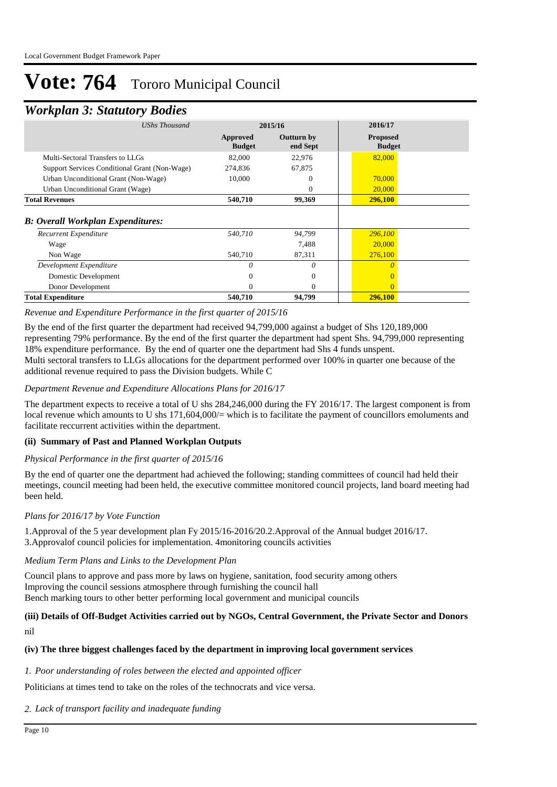### *Workplan 3: Statutory Bodies*

|                                                                                                                                                                                        |                               | 2016/17         |               |
|----------------------------------------------------------------------------------------------------------------------------------------------------------------------------------------|-------------------------------|-----------------|---------------|
| Approved<br><b>Budget</b>                                                                                                                                                              | <b>Outturn by</b><br>end Sept | <b>Proposed</b> |               |
| 82,000                                                                                                                                                                                 | 22,976                        | 82,000          |               |
| 274,836                                                                                                                                                                                | 67,875                        |                 |               |
| 10,000                                                                                                                                                                                 | 0                             | 70,000          |               |
|                                                                                                                                                                                        | $\Omega$                      | 20,000          |               |
| 540,710                                                                                                                                                                                | 99,369                        | <b>296,100</b>  |               |
|                                                                                                                                                                                        |                               |                 |               |
| 540,710                                                                                                                                                                                | 94,799                        | 296,100         |               |
|                                                                                                                                                                                        | 7,488                         | 20,000          |               |
| 540,710                                                                                                                                                                                | 87,311                        | 276,100         |               |
| 0                                                                                                                                                                                      | 0                             |                 |               |
| 0                                                                                                                                                                                      | $\mathbf{0}$                  |                 |               |
| 0                                                                                                                                                                                      | $\Omega$                      | $\Omega$        |               |
| 540,710                                                                                                                                                                                | 94,799                        | 296,100         |               |
| UShs Thousand<br>Support Services Conditional Grant (Non-Wage)<br>Urban Unconditional Grant (Non-Wage)<br>Urban Unconditional Grant (Wage)<br><b>B: Overall Workplan Expenditures:</b> |                               | 2015/16         | <b>Budget</b> |

#### *Revenue and Expenditure Performance in the first quarter of 2015/16*

By the end of the first quarter the department had received 94,799,000 against a budget of Shs 120,189,000 representing 79% performance. By the end of the first quarter the department had spent Shs. 94,799,000 representing 18% expenditure performance. By the end of quarter one the department had Shs 4 funds unspent. Multi sectoral transfers to LLGs allocations for the department performed over 100% in quarter one because of the additional revenue required to pass the Division budgets. While C

#### *Department Revenue and Expenditure Allocations Plans for 2016/17*

The department expects to receive a total of U shs 284,246,000 during the FY 2016/17. The largest component is from local revenue which amounts to U shs 171,604,000/= which is to facilitate the payment of councillors emoluments and facilitate reccurrent activities within the department.

#### **(ii) Summary of Past and Planned Workplan Outputs**

#### *Physical Performance in the first quarter of 2015/16*

By the end of quarter one the department had achieved the following; standing committees of council had held their meetings, council meeting had been held, the executive committee monitored council projects, land board meeting had been held.

#### *Plans for 2016/17 by Vote Function*

1.Approval of the 5 year development plan Fy 2015/16-2016/20.2.Approval of the Annual budget 2016/17. 3.Approvalof council policies for implementation. 4monitoring councils activities

#### *Medium Term Plans and Links to the Development Plan*

Council plans to approve and pass more by laws on hygiene, sanitation, food security among others Improving the council sessions atmosphere through furnishing the council hall Bench marking tours to other better performing local government and municipal councils

## **(iii) Details of Off-Budget Activities carried out by NGOs, Central Government, the Private Sector and Donors**

nil

#### **(iv) The three biggest challenges faced by the department in improving local government services**

#### *Poor understanding of roles between the elected and appointed officer 1.*

Politicians at times tend to take on the roles of the technocrats and vice versa.

#### *Lack of transport facility and inadequate funding 2.*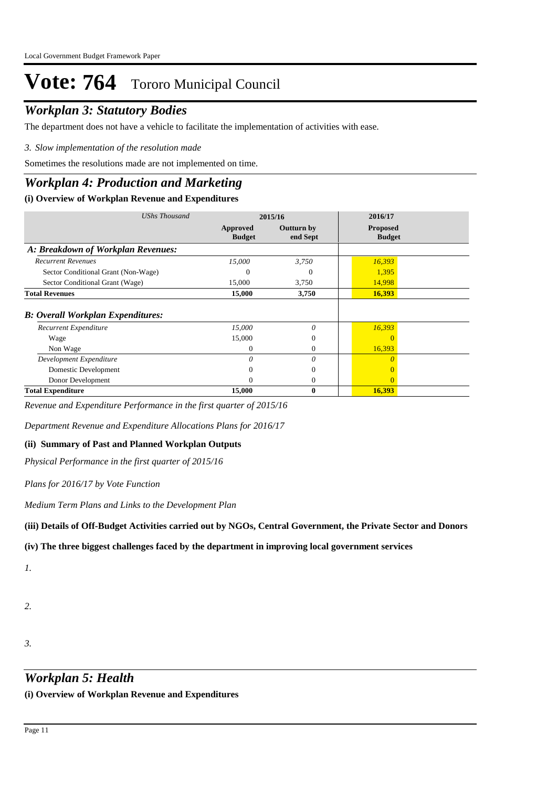## *Workplan 3: Statutory Bodies*

The department does not have a vehicle to facilitate the implementation of activities with ease.

#### *Slow implementation of the resolution made 3.*

Sometimes the resolutions made are not implemented on time.

### *Workplan 4: Production and Marketing*

#### **(i) Overview of Workplan Revenue and Expenditures**

| UShs Thousand                            | 2015/16                   |                               | 2016/17                          |  |
|------------------------------------------|---------------------------|-------------------------------|----------------------------------|--|
|                                          | Approved<br><b>Budget</b> | <b>Outturn by</b><br>end Sept | <b>Proposed</b><br><b>Budget</b> |  |
| A: Breakdown of Workplan Revenues:       |                           |                               |                                  |  |
| <b>Recurrent Revenues</b>                | 15,000                    | 3,750                         | 16,393                           |  |
| Sector Conditional Grant (Non-Wage)      | 0                         | 0                             | 1,395                            |  |
| Sector Conditional Grant (Wage)          | 15,000                    | 3,750                         | 14,998                           |  |
| <b>Total Revenues</b>                    | 15,000                    | 3,750                         | 16,393                           |  |
| <b>B: Overall Workplan Expenditures:</b> |                           |                               |                                  |  |
| Recurrent Expenditure                    | 15,000                    | $\theta$                      | 16,393                           |  |
| Wage                                     | 15,000                    | $\mathbf{0}$                  |                                  |  |
| Non Wage                                 | $\mathbf{0}$              | $\Omega$                      | 16,393                           |  |
| Development Expenditure                  | 0                         | $\theta$                      |                                  |  |
| Domestic Development                     | 0                         | $\mathbf{0}$                  |                                  |  |
| Donor Development                        | $\Omega$                  | $\mathbf{0}$                  | 0                                |  |
| <b>Total Expenditure</b>                 | 15,000                    | $\bf{0}$                      | 16,393                           |  |

*Revenue and Expenditure Performance in the first quarter of 2015/16*

*Department Revenue and Expenditure Allocations Plans for 2016/17*

#### **(ii) Summary of Past and Planned Workplan Outputs**

*Physical Performance in the first quarter of 2015/16*

*Plans for 2016/17 by Vote Function*

*Medium Term Plans and Links to the Development Plan*

**(iii) Details of Off-Budget Activities carried out by NGOs, Central Government, the Private Sector and Donors** 

#### **(iv) The three biggest challenges faced by the department in improving local government services**

*1.*

- *2.*
- *3.*

## *Workplan 5: Health*

**(i) Overview of Workplan Revenue and Expenditures**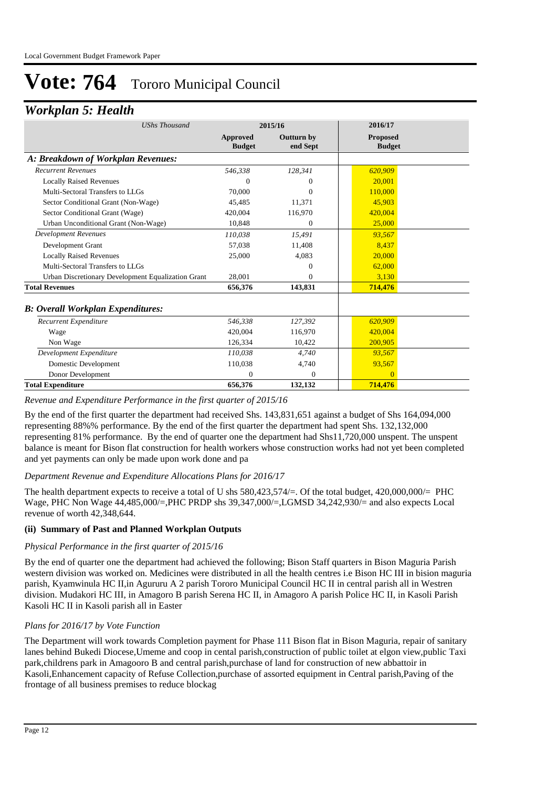### *Workplan 5: Health*

| <b>UShs Thousand</b>                               | 2015/16                          |                        | 2016/17                          |
|----------------------------------------------------|----------------------------------|------------------------|----------------------------------|
|                                                    | <b>Approved</b><br><b>Budget</b> | Outturn by<br>end Sept | <b>Proposed</b><br><b>Budget</b> |
| A: Breakdown of Workplan Revenues:                 |                                  |                        |                                  |
| <b>Recurrent Revenues</b>                          | 546,338                          | 128,341                | 620,909                          |
| <b>Locally Raised Revenues</b>                     | $\mathbf{0}$                     | 0                      | 20,001                           |
| Multi-Sectoral Transfers to LLGs                   | 70,000                           | $\Omega$               | 110,000                          |
| Sector Conditional Grant (Non-Wage)                | 45,485                           | 11,371                 | 45,903                           |
| Sector Conditional Grant (Wage)                    | 420,004                          | 116,970                | 420,004                          |
| Urban Unconditional Grant (Non-Wage)               | 10,848                           | $\Omega$               | 25,000                           |
| <b>Development Revenues</b>                        | 110.038                          | 15,491                 | 93,567                           |
| Development Grant                                  | 57,038                           | 11,408                 | 8.437                            |
| <b>Locally Raised Revenues</b>                     | 25,000                           | 4,083                  | 20,000                           |
| Multi-Sectoral Transfers to LLGs                   |                                  | $\Omega$               | 62,000                           |
| Urban Discretionary Development Equalization Grant | 28,001                           | $\Omega$               | 3,130                            |
| <b>Total Revenues</b>                              | 656,376                          | 143,831                | 714,476                          |
| <b>B: Overall Workplan Expenditures:</b>           |                                  |                        |                                  |
| Recurrent Expenditure                              | 546,338                          | 127,392                | 620,909                          |
| Wage                                               | 420,004                          | 116.970                | 420,004                          |
| Non Wage                                           | 126,334                          | 10,422                 | 200,905                          |
| Development Expenditure                            | 110,038                          | 4,740                  | 93,567                           |
| Domestic Development                               | 110,038                          | 4,740                  | 93,567                           |
| Donor Development                                  | 0                                | $\Omega$               | $\overline{0}$                   |
| <b>Total Expenditure</b>                           | 656,376                          | 132,132                | 714,476                          |

#### *Revenue and Expenditure Performance in the first quarter of 2015/16*

By the end of the first quarter the department had received Shs. 143,831,651 against a budget of Shs 164,094,000 representing 88%% performance. By the end of the first quarter the department had spent Shs. 132,132,000 representing 81% performance. By the end of quarter one the department had Shs11,720,000 unspent. The unspent balance is meant for Bison flat construction for health workers whose construction works had not yet been completed and yet payments can only be made upon work done and pa

#### *Department Revenue and Expenditure Allocations Plans for 2016/17*

The health department expects to receive a total of U shs 580,423,574/=. Of the total budget, 420,000,000/= PHC Wage, PHC Non Wage 44,485,000/=,PHC PRDP shs 39,347,000/=,LGMSD 34,242,930/= and also expects Local revenue of worth 42,348,644.

#### **(ii) Summary of Past and Planned Workplan Outputs**

#### *Physical Performance in the first quarter of 2015/16*

By the end of quarter one the department had achieved the following; Bison Staff quarters in Bison Maguria Parish western division was worked on. Medicines were distributed in all the health centres i.e Bison HC III in bision maguria parish, Kyamwinula HC II,in Agururu A 2 parish Tororo Municipal Council HC II in central parish all in Westren division. Mudakori HC III, in Amagoro B parish Serena HC II, in Amagoro A parish Police HC II, in Kasoli Parish Kasoli HC II in Kasoli parish all in Easter

#### *Plans for 2016/17 by Vote Function*

The Department will work towards Completion payment for Phase 111 Bison flat in Bison Maguria, repair of sanitary lanes behind Bukedi Diocese,Umeme and coop in cental parish,construction of public toilet at elgon view,public Taxi park,childrens park in Amagooro B and central parish,purchase of land for construction of new abbattoir in Kasoli,Enhancement capacity of Refuse Collection,purchase of assorted equipment in Central parish,Paving of the frontage of all business premises to reduce blockag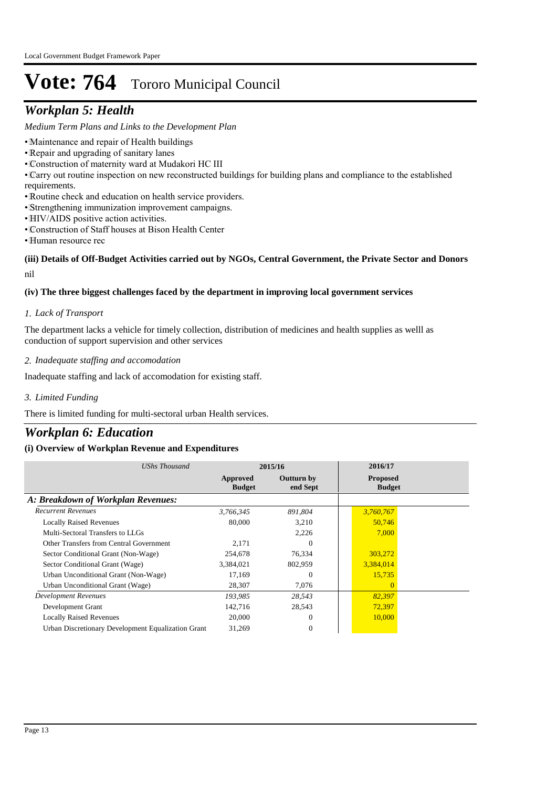## *Workplan 5: Health*

*Medium Term Plans and Links to the Development Plan*

- Maintenance and repair of Health buildings
- • Repair and upgrading of sanitary lanes
- • Construction of maternity ward at Mudakori HC III
- • Carry out routine inspection on new reconstructed buildings for building plans and compliance to the established requirements.
- • Routine check and education on health service providers.
- • Strengthening immunization improvement campaigns.
- HIV/AIDS positive action activities.
- • Construction of Staff houses at Bison Health Center
- Human resource rec

#### nil **(iii) Details of Off-Budget Activities carried out by NGOs, Central Government, the Private Sector and Donors**

#### **(iv) The three biggest challenges faced by the department in improving local government services**

#### *Lack of Transport 1.*

The department lacks a vehicle for timely collection, distribution of medicines and health supplies as welll as conduction of support supervision and other services

*Inadequate staffing and accomodation 2.*

Inadequate staffing and lack of accomodation for existing staff.

*Limited Funding 3.*

There is limited funding for multi-sectoral urban Health services.

### *Workplan 6: Education*

#### **(i) Overview of Workplan Revenue and Expenditures**

| <b>UShs Thousand</b>                               | 2015/16                   |                               | 2016/17                          |  |
|----------------------------------------------------|---------------------------|-------------------------------|----------------------------------|--|
|                                                    | Approved<br><b>Budget</b> | <b>Outturn by</b><br>end Sept | <b>Proposed</b><br><b>Budget</b> |  |
| A: Breakdown of Workplan Revenues:                 |                           |                               |                                  |  |
| <b>Recurrent Revenues</b>                          | 3,766,345                 | 891,804                       | 3,760,767                        |  |
| <b>Locally Raised Revenues</b>                     | 80,000                    | 3,210                         | 50,746                           |  |
| Multi-Sectoral Transfers to LLGs                   |                           | 2,226                         | 7,000                            |  |
| Other Transfers from Central Government            | 2,171                     | $\Omega$                      |                                  |  |
| Sector Conditional Grant (Non-Wage)                | 254,678                   | 76,334                        | 303,272                          |  |
| Sector Conditional Grant (Wage)                    | 3,384,021                 | 802,959                       | 3,384,014                        |  |
| Urban Unconditional Grant (Non-Wage)               | 17,169                    | $\Omega$                      | 15,735                           |  |
| Urban Unconditional Grant (Wage)                   | 28,307                    | 7,076                         | $\Omega$                         |  |
| Development Revenues                               | 193,985                   | 28,543                        | 82,397                           |  |
| Development Grant                                  | 142,716                   | 28,543                        | 72,397                           |  |
| <b>Locally Raised Revenues</b>                     | 20,000                    | $\Omega$                      | 10,000                           |  |
| Urban Discretionary Development Equalization Grant | 31,269                    | $\mathbf{0}$                  |                                  |  |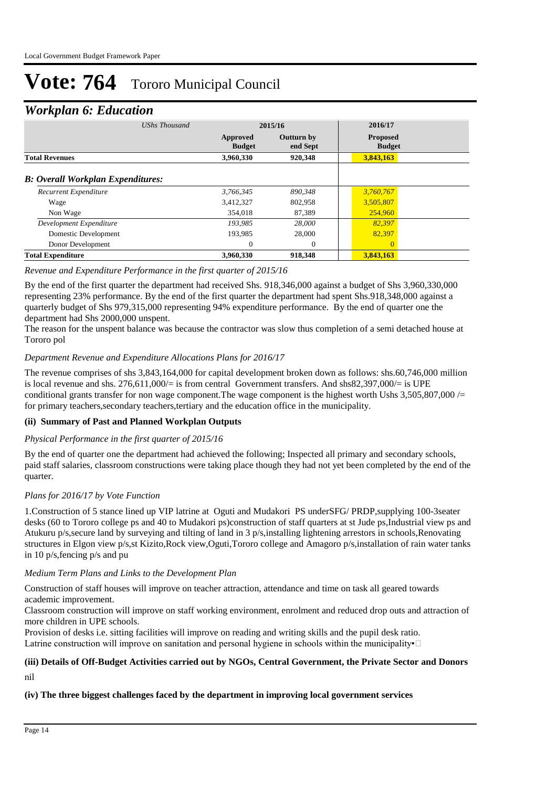### *Workplan 6: Education*

| UShs Thousand                            |                           | 2015/16                       | 2016/17                          |  |
|------------------------------------------|---------------------------|-------------------------------|----------------------------------|--|
|                                          | Approved<br><b>Budget</b> | <b>Outturn by</b><br>end Sept | <b>Proposed</b><br><b>Budget</b> |  |
| <b>Total Revenues</b>                    | 3,960,330                 | 920,348                       | 3,843,163                        |  |
| <b>B: Overall Workplan Expenditures:</b> |                           |                               |                                  |  |
| Recurrent Expenditure                    | 3,766,345                 | 890.348                       | 3,760,767                        |  |
| Wage                                     | 3,412,327                 | 802,958                       | 3,505,807                        |  |
| Non Wage                                 | 354,018                   | 87.389                        | 254,960                          |  |
| Development Expenditure                  | 193.985                   | 28,000                        | 82,397                           |  |
| Domestic Development                     | 193,985                   | 28,000                        | 82,397                           |  |
| Donor Development                        | 0                         | $\mathbf{0}$                  | $\Omega$                         |  |
| <b>Total Expenditure</b>                 | 3.960.330                 | 918,348                       | 3,843,163                        |  |

#### *Revenue and Expenditure Performance in the first quarter of 2015/16*

By the end of the first quarter the department had received Shs. 918,346,000 against a budget of Shs 3,960,330,000 representing 23% performance. By the end of the first quarter the department had spent Shs.918,348,000 against a quarterly budget of Shs 979,315,000 representing 94% expenditure performance. By the end of quarter one the department had Shs 2000,000 unspent.

The reason for the unspent balance was because the contractor was slow thus completion of a semi detached house at Tororo pol

#### *Department Revenue and Expenditure Allocations Plans for 2016/17*

The revenue comprises of shs 3,843,164,000 for capital development broken down as follows: shs.60,746,000 million is local revenue and shs. 276,611,000/= is from central Government transfers. And shs82,397,000/= is UPE conditional grants transfer for non wage component. The wage component is the highest worth Ushs  $3,505,807,000$  /= for primary teachers,secondary teachers,tertiary and the education office in the municipality.

#### **(ii) Summary of Past and Planned Workplan Outputs**

#### *Physical Performance in the first quarter of 2015/16*

By the end of quarter one the department had achieved the following; Inspected all primary and secondary schools, paid staff salaries, classroom constructions were taking place though they had not yet been completed by the end of the quarter.

#### *Plans for 2016/17 by Vote Function*

1.Construction of 5 stance lined up VIP latrine at Oguti and Mudakori PS underSFG/ PRDP,supplying 100-3seater desks (60 to Tororo college ps and 40 to Mudakori ps)construction of staff quarters at st Jude ps,Industrial view ps and Atukuru p/s,secure land by surveying and tilting of land in 3 p/s,installing lightening arrestors in schools,Renovating structures in Elgon view p/s,st Kizito,Rock view,Oguti,Tororo college and Amagoro p/s,installation of rain water tanks in 10 p/s,fencing p/s and pu

#### *Medium Term Plans and Links to the Development Plan*

Construction of staff houses will improve on teacher attraction, attendance and time on task all geared towards academic improvement.

Classroom construction will improve on staff working environment, enrolment and reduced drop outs and attraction of more children in UPE schools.

Provision of desks i.e. sitting facilities will improve on reading and writing skills and the pupil desk ratio. Latrine construction will improve on sanitation and personal hygiene in schools within the municipality∙□

### **(iii) Details of Off-Budget Activities carried out by NGOs, Central Government, the Private Sector and Donors**

nil

#### **(iv) The three biggest challenges faced by the department in improving local government services**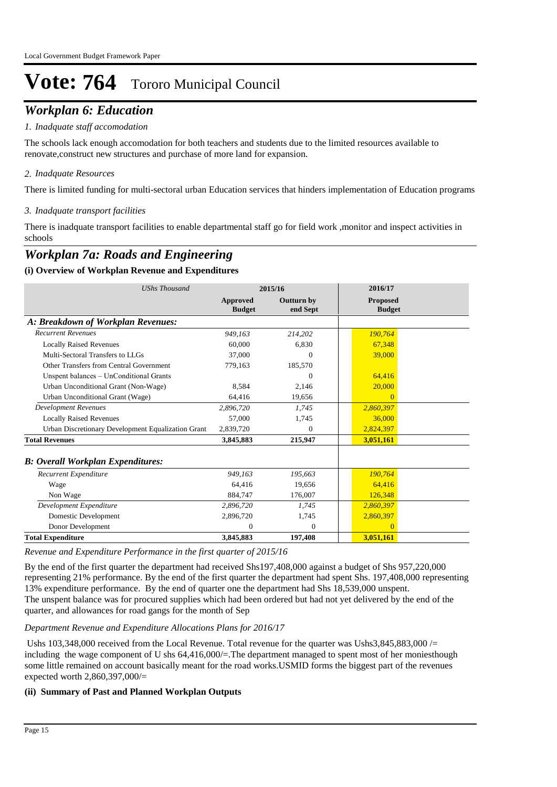## *Workplan 6: Education*

#### *Inadquate staff accomodation 1.*

The schools lack enough accomodation for both teachers and students due to the limited resources available to renovate,construct new structures and purchase of more land for expansion.

#### *Inadquate Resources 2.*

There is limited funding for multi-sectoral urban Education services that hinders implementation of Education programs

#### *Inadquate transport facilities 3.*

There is inadquate transport facilities to enable departmental staff go for field work ,monitor and inspect activities in schools

## *Workplan 7a: Roads and Engineering*

#### **(i) Overview of Workplan Revenue and Expenditures**

| <b>UShs Thousand</b>                               | 2015/16                   |                        | 2016/17                          |
|----------------------------------------------------|---------------------------|------------------------|----------------------------------|
|                                                    | Approved<br><b>Budget</b> | Outturn by<br>end Sept | <b>Proposed</b><br><b>Budget</b> |
| A: Breakdown of Workplan Revenues:                 |                           |                        |                                  |
| <b>Recurrent Revenues</b>                          | 949,163                   | 214,202                | 190,764                          |
| <b>Locally Raised Revenues</b>                     | 60,000                    | 6,830                  | 67,348                           |
| Multi-Sectoral Transfers to LLGs                   | 37,000                    | 0                      | 39,000                           |
| Other Transfers from Central Government            | 779,163                   | 185,570                |                                  |
| Unspent balances - UnConditional Grants            |                           | $\Omega$               | 64,416                           |
| Urban Unconditional Grant (Non-Wage)               | 8,584                     | 2,146                  | 20,000                           |
| Urban Unconditional Grant (Wage)                   | 64.416                    | 19.656                 | $\Omega$                         |
| <b>Development Revenues</b>                        | 2,896,720                 | 1.745                  | 2,860,397                        |
| <b>Locally Raised Revenues</b>                     | 57,000                    | 1,745                  | 36,000                           |
| Urban Discretionary Development Equalization Grant | 2,839,720                 | $\Omega$               | 2,824,397                        |
| <b>Total Revenues</b>                              | 3,845,883                 | 215,947                | 3,051,161                        |
| <b>B: Overall Workplan Expenditures:</b>           |                           |                        |                                  |
| Recurrent Expenditure                              | 949.163                   | 195.663                | 190,764                          |
| Wage                                               | 64.416                    | 19,656                 | 64,416                           |
| Non Wage                                           | 884,747                   | 176,007                | 126,348                          |
| Development Expenditure                            | 2,896,720                 | 1,745                  | 2,860,397                        |
| Domestic Development                               | 2,896,720                 | 1,745                  | 2,860,397                        |
| Donor Development                                  | $\mathbf{0}$              | $\mathbf{0}$           | $\Omega$                         |
| <b>Total Expenditure</b>                           | 3,845,883                 | 197,408                | 3,051,161                        |

*Revenue and Expenditure Performance in the first quarter of 2015/16*

By the end of the first quarter the department had received Shs197,408,000 against a budget of Shs 957,220,000 representing 21% performance. By the end of the first quarter the department had spent Shs. 197,408,000 representing 13% expenditure performance. By the end of quarter one the department had Shs 18,539,000 unspent. The unspent balance was for procured supplies which had been ordered but had not yet delivered by the end of the quarter, and allowances for road gangs for the month of Sep

#### *Department Revenue and Expenditure Allocations Plans for 2016/17*

Ushs 103,348,000 received from the Local Revenue. Total revenue for the quarter was Ushs3,845,883,000 /= including the wage component of U shs 64,416,000/=.The department managed to spent most of her moniesthough some little remained on account basically meant for the road works.USMID forms the biggest part of the revenues expected worth 2,860,397,000/=

#### **(ii) Summary of Past and Planned Workplan Outputs**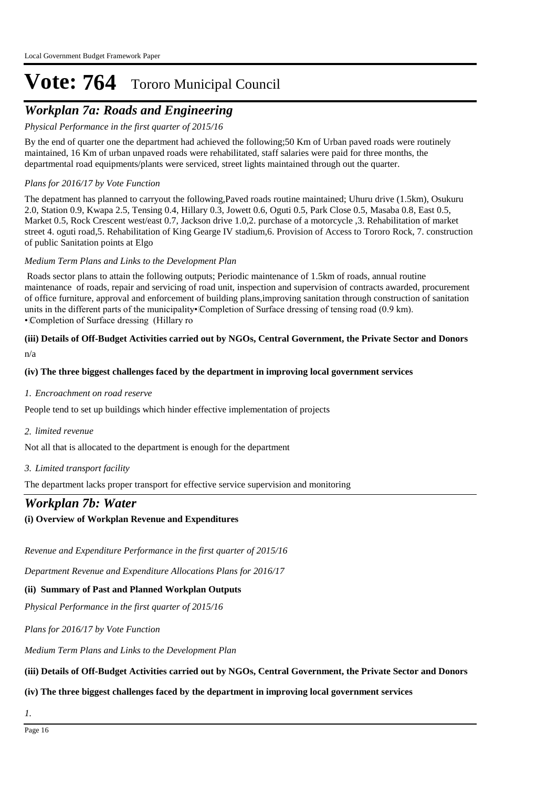## *Workplan 7a: Roads and Engineering*

*Physical Performance in the first quarter of 2015/16*

By the end of quarter one the department had achieved the following;50 Km of Urban paved roads were routinely maintained, 16 Km of urban unpaved roads were rehabilitated, staff salaries were paid for three months, the departmental road equipments/plants were serviced, street lights maintained through out the quarter.

#### *Plans for 2016/17 by Vote Function*

The depatment has planned to carryout the following,Paved roads routine maintained; Uhuru drive (1.5km), Osukuru 2.0, Station 0.9, Kwapa 2.5, Tensing 0.4, Hillary 0.3, Jowett 0.6, Oguti 0.5, Park Close 0.5, Masaba 0.8, East 0.5, Market 0.5, Rock Crescent west/east 0.7, Jackson drive 1.0,2. purchase of a motorcycle ,3. Rehabilitation of market street 4. oguti road,5. Rehabilitation of King Gearge IV stadium,6. Provision of Access to Tororo Rock, 7. construction of public Sanitation points at Elgo

#### *Medium Term Plans and Links to the Development Plan*

 Roads sector plans to attain the following outputs; Periodic maintenance of 1.5km of roads, annual routine maintenance of roads, repair and servicing of road unit, inspection and supervision of contracts awarded, procurement of office furniture, approval and enforcement of building plans,improving sanitation through construction of sanitation units in the different parts of the municipality• Completion of Surface dressing of tensing road (0.9 km). • Completion of Surface dressing (Hillary ro

#### n/a **(iii) Details of Off-Budget Activities carried out by NGOs, Central Government, the Private Sector and Donors**

#### **(iv) The three biggest challenges faced by the department in improving local government services**

*Encroachment on road reserve 1.*

People tend to set up buildings which hinder effective implementation of projects

*limited revenue 2.*

Not all that is allocated to the department is enough for the department

*Limited transport facility 3.*

The department lacks proper transport for effective service supervision and monitoring

### *Workplan 7b: Water*

#### **(i) Overview of Workplan Revenue and Expenditures**

*Revenue and Expenditure Performance in the first quarter of 2015/16*

*Department Revenue and Expenditure Allocations Plans for 2016/17*

#### **(ii) Summary of Past and Planned Workplan Outputs**

*Physical Performance in the first quarter of 2015/16*

*Plans for 2016/17 by Vote Function*

*Medium Term Plans and Links to the Development Plan*

#### **(iii) Details of Off-Budget Activities carried out by NGOs, Central Government, the Private Sector and Donors**

#### **(iv) The three biggest challenges faced by the department in improving local government services**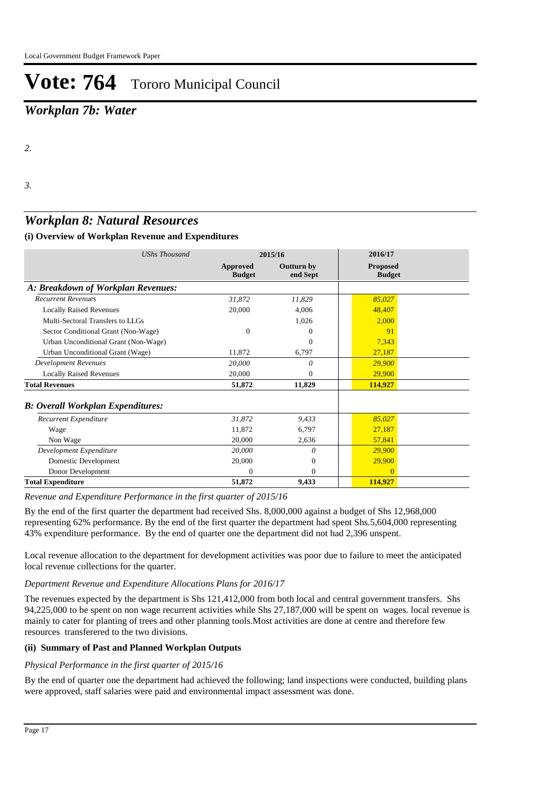## *Workplan 7b: Water*

*3.*

### *Workplan 8: Natural Resources*

#### **(i) Overview of Workplan Revenue and Expenditures**

| <b>UShs Thousand</b>                     | 2015/16                   |                               | 2016/17                          |  |
|------------------------------------------|---------------------------|-------------------------------|----------------------------------|--|
|                                          | Approved<br><b>Budget</b> | <b>Outturn by</b><br>end Sept | <b>Proposed</b><br><b>Budget</b> |  |
| A: Breakdown of Workplan Revenues:       |                           |                               |                                  |  |
| <b>Recurrent Revenues</b>                | 31,872                    | 11,829                        | 85,027                           |  |
| <b>Locally Raised Revenues</b>           | 20,000                    | 4,006                         | 48,407                           |  |
| Multi-Sectoral Transfers to LLGs         |                           | 1,026                         | 2,000                            |  |
| Sector Conditional Grant (Non-Wage)      | $\Omega$                  | $^{(1)}$                      | 91                               |  |
| Urban Unconditional Grant (Non-Wage)     |                           | $\Omega$                      | 7,343                            |  |
| Urban Unconditional Grant (Wage)         | 11,872                    | 6,797                         | 27,187                           |  |
| <b>Development Revenues</b>              | 20,000                    | 0                             | 29,900                           |  |
| <b>Locally Raised Revenues</b>           | 20,000                    | $\Omega$                      | 29,900                           |  |
| <b>Total Revenues</b>                    | 51,872                    | 11,829                        | 114,927                          |  |
| <b>B: Overall Workplan Expenditures:</b> |                           |                               |                                  |  |
| Recurrent Expenditure                    | 31,872                    | 9,433                         | 85,027                           |  |
| Wage                                     | 11,872                    | 6,797                         | 27,187                           |  |
| Non Wage                                 | 20,000                    | 2,636                         | 57,841                           |  |
| Development Expenditure                  | 20,000                    | 0                             | 29,900                           |  |
| Domestic Development                     | 20,000                    | $\boldsymbol{0}$              | 29,900                           |  |
| Donor Development                        | 0                         | $\Omega$                      | $\Omega$                         |  |
| <b>Total Expenditure</b>                 | 51,872                    | 9,433                         | 114,927                          |  |

*Revenue and Expenditure Performance in the first quarter of 2015/16*

By the end of the first quarter the department had received Shs. 8,000,000 against a budget of Shs 12,968,000 representing 62% performance. By the end of the first quarter the department had spent Shs.5,604,000 representing 43% expenditure performance. By the end of quarter one the department did not had 2,396 unspent.

Local revenue allocation to the department for development activities was poor due to failure to meet the anticipated local revenue collections for the quarter.

#### *Department Revenue and Expenditure Allocations Plans for 2016/17*

The revenues expected by the department is Shs 121,412,000 from both local and central government transfers. Shs 94,225,000 to be spent on non wage recurrent activities while Shs 27,187,000 will be spent on wages. local revenue is mainly to cater for planting of trees and other planning tools.Most activities are done at centre and therefore few resources transferered to the two divisions.

#### **(ii) Summary of Past and Planned Workplan Outputs**

#### *Physical Performance in the first quarter of 2015/16*

By the end of quarter one the department had achieved the following; land inspections were conducted, building plans were approved, staff salaries were paid and environmental impact assessment was done.

*<sup>2.</sup>*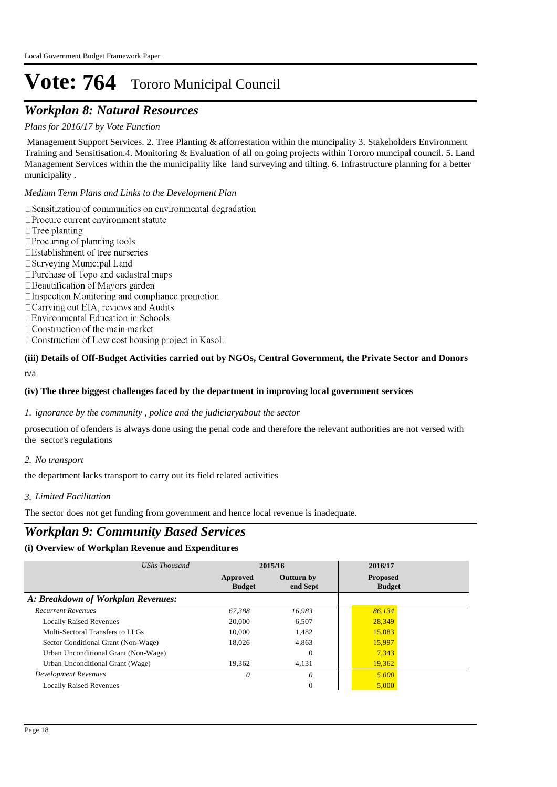### *Workplan 8: Natural Resources*

#### *Plans for 2016/17 by Vote Function*

 Management Support Services. 2. Tree Planting & afforrestation within the muncipality 3. Stakeholders Environment Training and Sensitisation.4. Monitoring & Evaluation of all on going projects within Tororo muncipal council. 5. Land Management Services within the the municipality like land surveying and tilting. 6. Infrastructure planning for a better municipality .

*Medium Term Plans and Links to the Development Plan*

 $\square$  Sensitization of communities on environmental degradation □ Procure current environment statute  $\Box$  Tree planting  $\Box$ Procuring of planning tools □Establishment of tree nurseries □ Surveying Municipal Land

- □Purchase of Topo and cadastral maps □ Beautification of Mayors garden
- $\Box$ Inspection Monitoring and compliance promotion
- □ Carrying out EIA, reviews and Audits
- □Environmental Education in Schools
- $\Box$  Construction of the main market
- □ Construction of Low cost housing project in Kasoli

#### n/a **(iii) Details of Off-Budget Activities carried out by NGOs, Central Government, the Private Sector and Donors**

#### **(iv) The three biggest challenges faced by the department in improving local government services**

#### *ignorance by the community , police and the judiciaryabout the sector 1.*

prosecution of ofenders is always done using the penal code and therefore the relevant authorities are not versed with the sector's regulations

*No transport 2.*

the department lacks transport to carry out its field related activities

#### *Limited Facilitation 3.*

The sector does not get funding from government and hence local revenue is inadequate.

### *Workplan 9: Community Based Services*

#### **(i) Overview of Workplan Revenue and Expenditures**

| UShs Thousand                        | 2015/16                   |                               | 2016/17                          |  |  |
|--------------------------------------|---------------------------|-------------------------------|----------------------------------|--|--|
|                                      | Approved<br><b>Budget</b> | <b>Outturn</b> by<br>end Sept | <b>Proposed</b><br><b>Budget</b> |  |  |
| A: Breakdown of Workplan Revenues:   |                           |                               |                                  |  |  |
| <b>Recurrent Revenues</b>            | 67.388                    | 16,983                        | 86,134                           |  |  |
| <b>Locally Raised Revenues</b>       | 20,000                    | 6.507                         | 28,349                           |  |  |
| Multi-Sectoral Transfers to LLGs     | 10,000                    | 1.482                         | 15,083                           |  |  |
| Sector Conditional Grant (Non-Wage)  | 18.026                    | 4.863                         | 15,997                           |  |  |
| Urban Unconditional Grant (Non-Wage) |                           | $\Omega$                      | 7,343                            |  |  |
| Urban Unconditional Grant (Wage)     | 19,362                    | 4,131                         | 19,362                           |  |  |
| <b>Development Revenues</b>          | 0                         | $\theta$                      | 5,000                            |  |  |
| <b>Locally Raised Revenues</b>       |                           | $\mathbf{0}$                  | 5,000                            |  |  |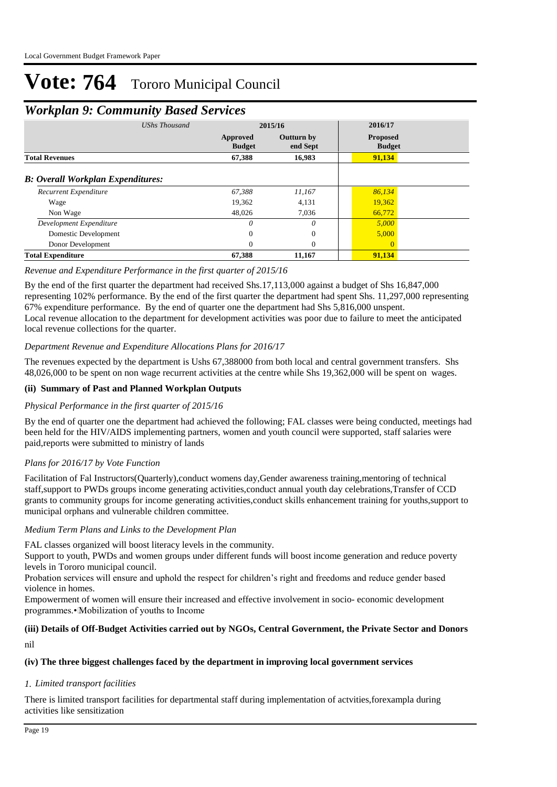### *Workplan 9: Community Based Services*

| <b>UShs Thousand</b>                     | 2015/16                   |                               | 2016/17                          |
|------------------------------------------|---------------------------|-------------------------------|----------------------------------|
|                                          | Approved<br><b>Budget</b> | <b>Outturn by</b><br>end Sept | <b>Proposed</b><br><b>Budget</b> |
| <b>Total Revenues</b>                    | 67,388                    | 16,983                        | 91,134                           |
| <b>B: Overall Workplan Expenditures:</b> |                           |                               |                                  |
| Recurrent Expenditure                    | 67.388                    | 11.167                        | 86,134                           |
| Wage                                     | 19,362                    | 4,131                         | 19,362                           |
| Non Wage                                 | 48,026                    | 7,036                         | 66,772                           |
| Development Expenditure                  | 0                         | 0                             | 5,000                            |
| Domestic Development                     | $\Omega$                  | $\mathbf{0}$                  | 5,000                            |
| Donor Development                        | $\Omega$                  | $\mathbf{0}$                  | $\Omega$                         |
| <b>Total Expenditure</b>                 | 67,388                    | 11,167                        | 91,134                           |

#### *Revenue and Expenditure Performance in the first quarter of 2015/16*

By the end of the first quarter the department had received Shs.17,113,000 against a budget of Shs 16,847,000 representing 102% performance. By the end of the first quarter the department had spent Shs. 11,297,000 representing 67% expenditure performance. By the end of quarter one the department had Shs 5,816,000 unspent. Local revenue allocation to the department for development activities was poor due to failure to meet the anticipated local revenue collections for the quarter.

#### *Department Revenue and Expenditure Allocations Plans for 2016/17*

The revenues expected by the department is Ushs 67,388000 from both local and central government transfers. Shs 48,026,000 to be spent on non wage recurrent activities at the centre while Shs 19,362,000 will be spent on wages.

#### **(ii) Summary of Past and Planned Workplan Outputs**

#### *Physical Performance in the first quarter of 2015/16*

By the end of quarter one the department had achieved the following; FAL classes were being conducted, meetings had been held for the HIV/AIDS implementing partners, women and youth council were supported, staff salaries were paid,reports were submitted to ministry of lands

#### *Plans for 2016/17 by Vote Function*

Facilitation of Fal Instructors(Quarterly),conduct womens day,Gender awareness training,mentoring of technical staff,support to PWDs groups income generating activities,conduct annual youth day celebrations,Transfer of CCD grants to community groups for income generating activities,conduct skills enhancement training for youths,support to municipal orphans and vulnerable children committee.

#### *Medium Term Plans and Links to the Development Plan*

FAL classes organized will boost literacy levels in the community.

Support to youth, PWDs and women groups under different funds will boost income generation and reduce poverty levels in Tororo municipal council.

Probation services will ensure and uphold the respect for children's right and freedoms and reduce gender based violence in homes.

Empowerment of women will ensure their increased and effective involvement in socio- economic development programmes.• Mobilization of youths to Income

#### nil **(iii) Details of Off-Budget Activities carried out by NGOs, Central Government, the Private Sector and Donors**

#### **(iv) The three biggest challenges faced by the department in improving local government services**

#### *Limited transport facilities 1.*

There is limited transport facilities for departmental staff during implementation of actvities,forexampla during activities like sensitization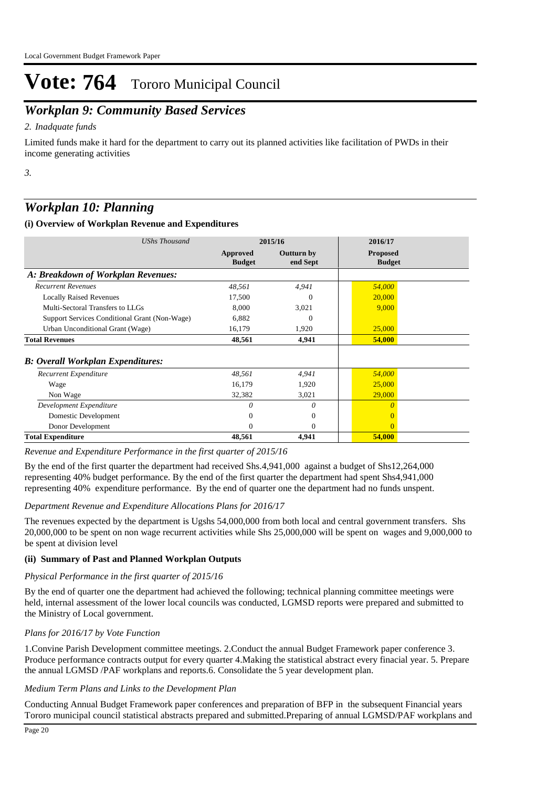## *Workplan 9: Community Based Services*

#### *Inadquate funds 2.*

Limited funds make it hard for the department to carry out its planned activities like facilitation of PWDs in their income generating activities

*3.*

## *Workplan 10: Planning*

#### **(i) Overview of Workplan Revenue and Expenditures**

| <b>UShs Thousand</b>                          | 2015/16                   |                               | 2016/17                          |  |
|-----------------------------------------------|---------------------------|-------------------------------|----------------------------------|--|
|                                               | Approved<br><b>Budget</b> | <b>Outturn by</b><br>end Sept | <b>Proposed</b><br><b>Budget</b> |  |
| A: Breakdown of Workplan Revenues:            |                           |                               |                                  |  |
| <b>Recurrent Revenues</b>                     | 48,561                    | 4,941                         | 54,000                           |  |
| <b>Locally Raised Revenues</b>                | 17,500                    | $\Omega$                      | 20,000                           |  |
| Multi-Sectoral Transfers to LLGs              | 8,000                     | 3,021                         | 9,000                            |  |
| Support Services Conditional Grant (Non-Wage) | 6,882                     | $\Omega$                      |                                  |  |
| Urban Unconditional Grant (Wage)              | 16,179                    | 1,920                         | 25,000                           |  |
| <b>Total Revenues</b>                         | 48,561                    | 4,941                         | 54,000                           |  |
| <b>B: Overall Workplan Expenditures:</b>      |                           |                               |                                  |  |
| Recurrent Expenditure                         | 48,561                    | 4,941                         | 54,000                           |  |
| Wage                                          | 16,179                    | 1,920                         | 25,000                           |  |
| Non Wage                                      | 32,382                    | 3,021                         | 29,000                           |  |
| Development Expenditure                       | 0                         | 0                             | $\theta$                         |  |
| Domestic Development                          | $\Omega$                  | $\overline{0}$                |                                  |  |
| Donor Development                             | $\Omega$                  | $\Omega$                      | $\Omega$                         |  |
| <b>Total Expenditure</b>                      | 48,561                    | 4,941                         | 54,000                           |  |

#### *Revenue and Expenditure Performance in the first quarter of 2015/16*

By the end of the first quarter the department had received Shs.4,941,000 against a budget of Shs12,264,000 representing 40% budget performance. By the end of the first quarter the department had spent Shs4,941,000 representing 40% expenditure performance. By the end of quarter one the department had no funds unspent.

#### *Department Revenue and Expenditure Allocations Plans for 2016/17*

The revenues expected by the department is Ugshs 54,000,000 from both local and central government transfers. Shs 20,000,000 to be spent on non wage recurrent activities while Shs 25,000,000 will be spent on wages and 9,000,000 to be spent at division level

#### **(ii) Summary of Past and Planned Workplan Outputs**

#### *Physical Performance in the first quarter of 2015/16*

By the end of quarter one the department had achieved the following; technical planning committee meetings were held, internal assessment of the lower local councils was conducted, LGMSD reports were prepared and submitted to the Ministry of Local government.

#### *Plans for 2016/17 by Vote Function*

1.Convine Parish Development committee meetings. 2.Conduct the annual Budget Framework paper conference 3. Produce performance contracts output for every quarter 4.Making the statistical abstract every finacial year. 5. Prepare the annual LGMSD /PAF workplans and reports.6. Consolidate the 5 year development plan.

#### *Medium Term Plans and Links to the Development Plan*

Conducting Annual Budget Framework paper conferences and preparation of BFP in the subsequent Financial years Tororo municipal council statistical abstracts prepared and submitted.Preparing of annual LGMSD/PAF workplans and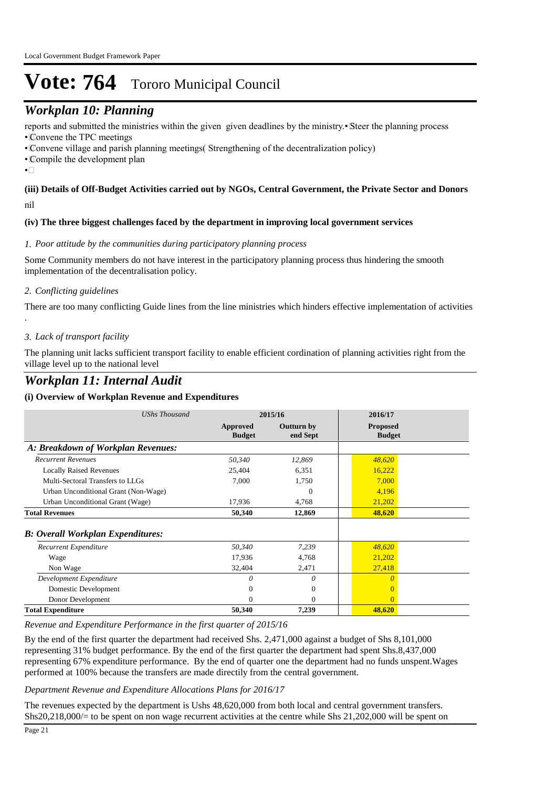## *Workplan 10: Planning*

reports and submitted the ministries within the given given deadlines by the ministry.• Steer the planning process

• Convene the TPC meetings

• Convene village and parish planning meetings( Strengthening of the decentralization policy)

• Compile the development plan

 $\bullet$  $\Box$ 

.

#### nil **(iii) Details of Off-Budget Activities carried out by NGOs, Central Government, the Private Sector and Donors**

#### **(iv) The three biggest challenges faced by the department in improving local government services**

#### *Poor attitude by the communities during participatory planning process 1.*

Some Community members do not have interest in the participatory planning process thus hindering the smooth implementation of the decentralisation policy.

#### *Conflicting guidelines 2.*

There are too many conflicting Guide lines from the line ministries which hinders effective implementation of activities

#### *Lack of transport facility 3.*

The planning unit lacks sufficient transport facility to enable efficient cordination of planning activities right from the village level up to the national level

### *Workplan 11: Internal Audit*

#### **(i) Overview of Workplan Revenue and Expenditures**

| <b>UShs Thousand</b>                     | 2015/16                   |                               | 2016/17                          |  |
|------------------------------------------|---------------------------|-------------------------------|----------------------------------|--|
|                                          | Approved<br><b>Budget</b> | <b>Outturn by</b><br>end Sept | <b>Proposed</b><br><b>Budget</b> |  |
| A: Breakdown of Workplan Revenues:       |                           |                               |                                  |  |
| <b>Recurrent Revenues</b>                | 50,340                    | 12,869                        | 48,620                           |  |
| <b>Locally Raised Revenues</b>           | 25,404                    | 6,351                         | 16,222                           |  |
| Multi-Sectoral Transfers to LLGs         | 7,000                     | 1,750                         | 7,000                            |  |
| Urban Unconditional Grant (Non-Wage)     |                           | $\Omega$                      | 4,196                            |  |
| Urban Unconditional Grant (Wage)         | 17,936                    | 4,768                         | 21,202                           |  |
| <b>Total Revenues</b>                    | 50,340                    | 12,869                        | 48,620                           |  |
| <b>B: Overall Workplan Expenditures:</b> |                           |                               |                                  |  |
| <b>Recurrent Expenditure</b>             | 50,340                    | 7,239                         | 48,620                           |  |
| Wage                                     | 17,936                    | 4,768                         | 21,202                           |  |
| Non Wage                                 | 32,404                    | 2,471                         | 27,418                           |  |
| Development Expenditure                  | $\Omega$                  | $\theta$                      | $\Omega$                         |  |
| Domestic Development                     |                           | $\Omega$                      |                                  |  |
| Donor Development                        | 0                         | $\Omega$                      | $\Omega$                         |  |
| <b>Total Expenditure</b>                 | 50,340                    | 7,239                         | 48,620                           |  |

#### *Revenue and Expenditure Performance in the first quarter of 2015/16*

By the end of the first quarter the department had received Shs. 2,471,000 against a budget of Shs 8,101,000 representing 31% budget performance. By the end of the first quarter the department had spent Shs.8,437,000 representing 67% expenditure performance. By the end of quarter one the department had no funds unspent.Wages performed at 100% because the transfers are made directily from the central government.

#### *Department Revenue and Expenditure Allocations Plans for 2016/17*

The revenues expected by the department is Ushs 48,620,000 from both local and central government transfers. Shs20,218,000/= to be spent on non wage recurrent activities at the centre while Shs 21,202,000 will be spent on